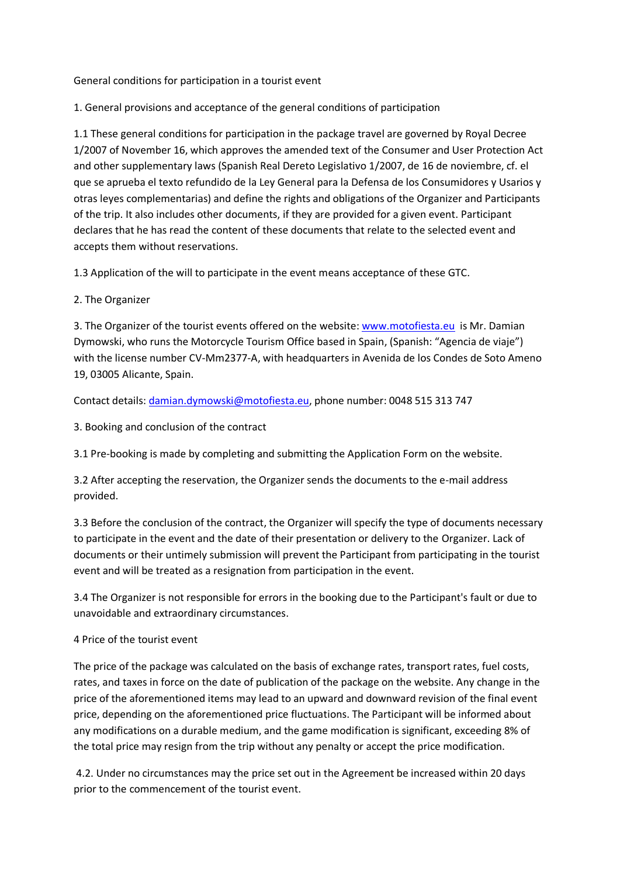General conditions for participation in a tourist event

1. General provisions and acceptance of the general conditions of participation

1.1 These general conditions for participation in the package travel are governed by Royal Decree 1/2007 of November 16, which approves the amended text of the Consumer and User Protection Act and other supplementary laws (Spanish Real Dereto Legislativo 1/2007, de 16 de noviembre, cf. el que se aprueba el texto refundido de la Ley General para la Defensa de los Consumidores y Usarios y otras leyes complementarias) and define the rights and obligations of the Organizer and Participants of the trip. It also includes other documents, if they are provided for a given event. Participant declares that he has read the content of these documents that relate to the selected event and accepts them without reservations.

1.3 Application of the will to participate in the event means acceptance of these GTC.

2. The Organizer

3. The Organizer of the tourist events offered on the website[: www.motofiesta.eu](http://www.motofiesta.eu/) is Mr. Damian Dymowski, who runs the Motorcycle Tourism Office based in Spain, (Spanish: "Agencia de viaje") with the license number CV-Mm2377-A, with headquarters in Avenida de los Condes de Soto Ameno 19, 03005 Alicante, Spain.

Contact details: [damian.dymowski@motofiesta.eu,](mailto:damian.dymowski@motofiesta.eu) phone number: 0048 515 313 747

3. Booking and conclusion of the contract

3.1 Pre-booking is made by completing and submitting the Application Form on the website.

3.2 After accepting the reservation, the Organizer sends the documents to the e-mail address provided.

3.3 Before the conclusion of the contract, the Organizer will specify the type of documents necessary to participate in the event and the date of their presentation or delivery to the Organizer. Lack of documents or their untimely submission will prevent the Participant from participating in the tourist event and will be treated as a resignation from participation in the event.

3.4 The Organizer is not responsible for errors in the booking due to the Participant's fault or due to unavoidable and extraordinary circumstances.

#### 4 Price of the tourist event

The price of the package was calculated on the basis of exchange rates, transport rates, fuel costs, rates, and taxes in force on the date of publication of the package on the website. Any change in the price of the aforementioned items may lead to an upward and downward revision of the final event price, depending on the aforementioned price fluctuations. The Participant will be informed about any modifications on a durable medium, and the game modification is significant, exceeding 8% of the total price may resign from the trip without any penalty or accept the price modification.

4.2. Under no circumstances may the price set out in the Agreement be increased within 20 days prior to the commencement of the tourist event.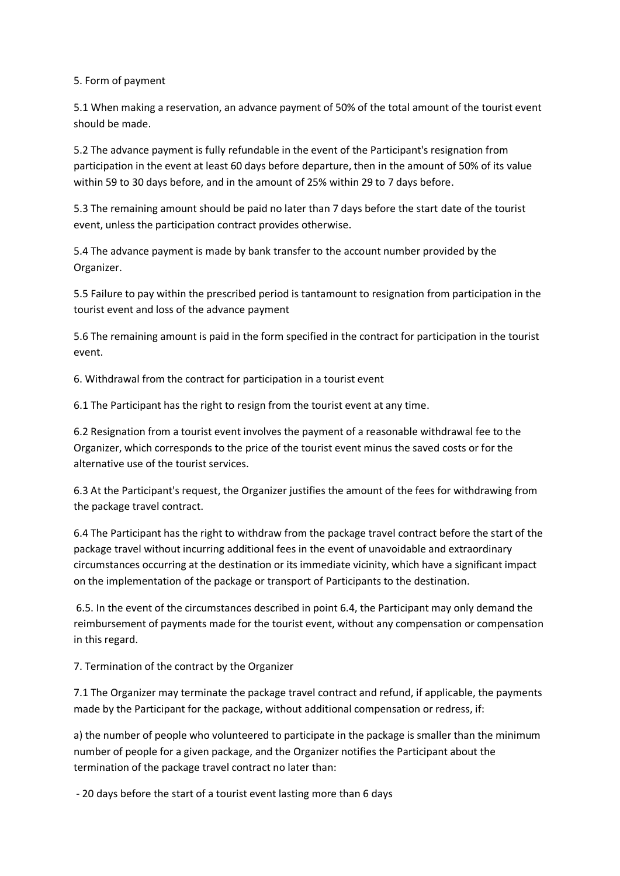### 5. Form of payment

5.1 When making a reservation, an advance payment of 50% of the total amount of the tourist event should be made.

5.2 The advance payment is fully refundable in the event of the Participant's resignation from participation in the event at least 60 days before departure, then in the amount of 50% of its value within 59 to 30 days before, and in the amount of 25% within 29 to 7 days before.

5.3 The remaining amount should be paid no later than 7 days before the start date of the tourist event, unless the participation contract provides otherwise.

5.4 The advance payment is made by bank transfer to the account number provided by the Organizer.

5.5 Failure to pay within the prescribed period is tantamount to resignation from participation in the tourist event and loss of the advance payment

5.6 The remaining amount is paid in the form specified in the contract for participation in the tourist event.

6. Withdrawal from the contract for participation in a tourist event

6.1 The Participant has the right to resign from the tourist event at any time.

6.2 Resignation from a tourist event involves the payment of a reasonable withdrawal fee to the Organizer, which corresponds to the price of the tourist event minus the saved costs or for the alternative use of the tourist services.

6.3 At the Participant's request, the Organizer justifies the amount of the fees for withdrawing from the package travel contract.

6.4 The Participant has the right to withdraw from the package travel contract before the start of the package travel without incurring additional fees in the event of unavoidable and extraordinary circumstances occurring at the destination or its immediate vicinity, which have a significant impact on the implementation of the package or transport of Participants to the destination.

6.5. In the event of the circumstances described in point 6.4, the Participant may only demand the reimbursement of payments made for the tourist event, without any compensation or compensation in this regard.

7. Termination of the contract by the Organizer

7.1 The Organizer may terminate the package travel contract and refund, if applicable, the payments made by the Participant for the package, without additional compensation or redress, if:

a) the number of people who volunteered to participate in the package is smaller than the minimum number of people for a given package, and the Organizer notifies the Participant about the termination of the package travel contract no later than:

- 20 days before the start of a tourist event lasting more than 6 days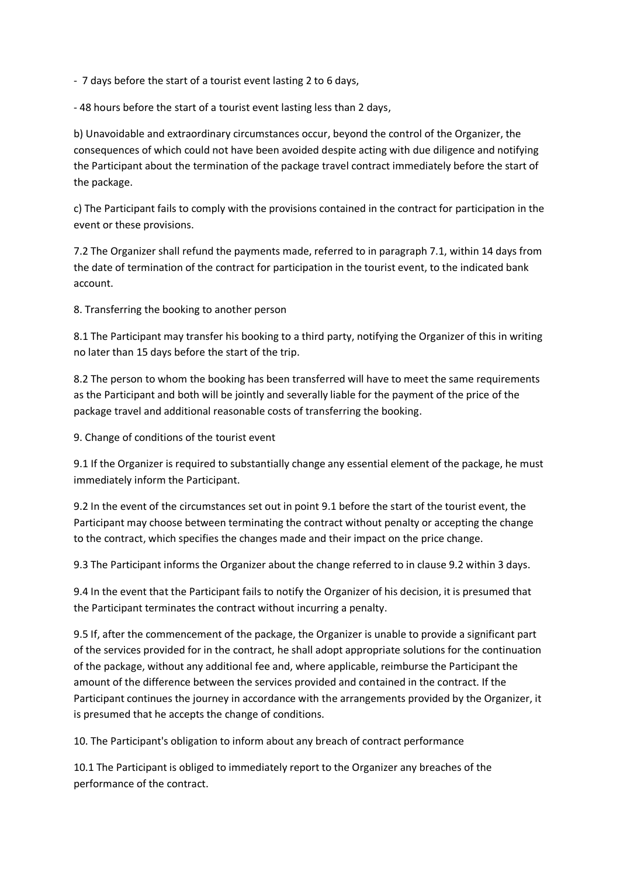- 7 days before the start of a tourist event lasting 2 to 6 days,

- 48 hours before the start of a tourist event lasting less than 2 days,

b) Unavoidable and extraordinary circumstances occur, beyond the control of the Organizer, the consequences of which could not have been avoided despite acting with due diligence and notifying the Participant about the termination of the package travel contract immediately before the start of the package.

c) The Participant fails to comply with the provisions contained in the contract for participation in the event or these provisions.

7.2 The Organizer shall refund the payments made, referred to in paragraph 7.1, within 14 days from the date of termination of the contract for participation in the tourist event, to the indicated bank account.

8. Transferring the booking to another person

8.1 The Participant may transfer his booking to a third party, notifying the Organizer of this in writing no later than 15 days before the start of the trip.

8.2 The person to whom the booking has been transferred will have to meet the same requirements as the Participant and both will be jointly and severally liable for the payment of the price of the package travel and additional reasonable costs of transferring the booking.

9. Change of conditions of the tourist event

9.1 If the Organizer is required to substantially change any essential element of the package, he must immediately inform the Participant.

9.2 In the event of the circumstances set out in point 9.1 before the start of the tourist event, the Participant may choose between terminating the contract without penalty or accepting the change to the contract, which specifies the changes made and their impact on the price change.

9.3 The Participant informs the Organizer about the change referred to in clause 9.2 within 3 days.

9.4 In the event that the Participant fails to notify the Organizer of his decision, it is presumed that the Participant terminates the contract without incurring a penalty.

9.5 If, after the commencement of the package, the Organizer is unable to provide a significant part of the services provided for in the contract, he shall adopt appropriate solutions for the continuation of the package, without any additional fee and, where applicable, reimburse the Participant the amount of the difference between the services provided and contained in the contract. If the Participant continues the journey in accordance with the arrangements provided by the Organizer, it is presumed that he accepts the change of conditions.

10. The Participant's obligation to inform about any breach of contract performance

10.1 The Participant is obliged to immediately report to the Organizer any breaches of the performance of the contract.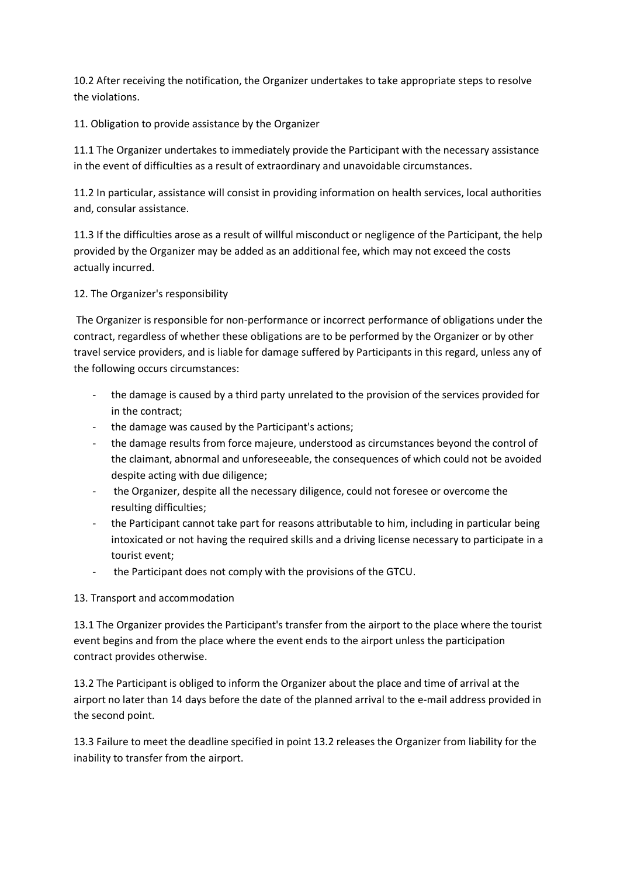10.2 After receiving the notification, the Organizer undertakes to take appropriate steps to resolve the violations.

11. Obligation to provide assistance by the Organizer

11.1 The Organizer undertakes to immediately provide the Participant with the necessary assistance in the event of difficulties as a result of extraordinary and unavoidable circumstances.

11.2 In particular, assistance will consist in providing information on health services, local authorities and, consular assistance.

11.3 If the difficulties arose as a result of willful misconduct or negligence of the Participant, the help provided by the Organizer may be added as an additional fee, which may not exceed the costs actually incurred.

12. The Organizer's responsibility

The Organizer is responsible for non-performance or incorrect performance of obligations under the contract, regardless of whether these obligations are to be performed by the Organizer or by other travel service providers, and is liable for damage suffered by Participants in this regard, unless any of the following occurs circumstances:

- the damage is caused by a third party unrelated to the provision of the services provided for in the contract;
- the damage was caused by the Participant's actions;
- the damage results from force majeure, understood as circumstances beyond the control of the claimant, abnormal and unforeseeable, the consequences of which could not be avoided despite acting with due diligence;
- the Organizer, despite all the necessary diligence, could not foresee or overcome the resulting difficulties;
- the Participant cannot take part for reasons attributable to him, including in particular being intoxicated or not having the required skills and a driving license necessary to participate in a tourist event;
- the Participant does not comply with the provisions of the GTCU.

# 13. Transport and accommodation

13.1 The Organizer provides the Participant's transfer from the airport to the place where the tourist event begins and from the place where the event ends to the airport unless the participation contract provides otherwise.

13.2 The Participant is obliged to inform the Organizer about the place and time of arrival at the airport no later than 14 days before the date of the planned arrival to the e-mail address provided in the second point.

13.3 Failure to meet the deadline specified in point 13.2 releases the Organizer from liability for the inability to transfer from the airport.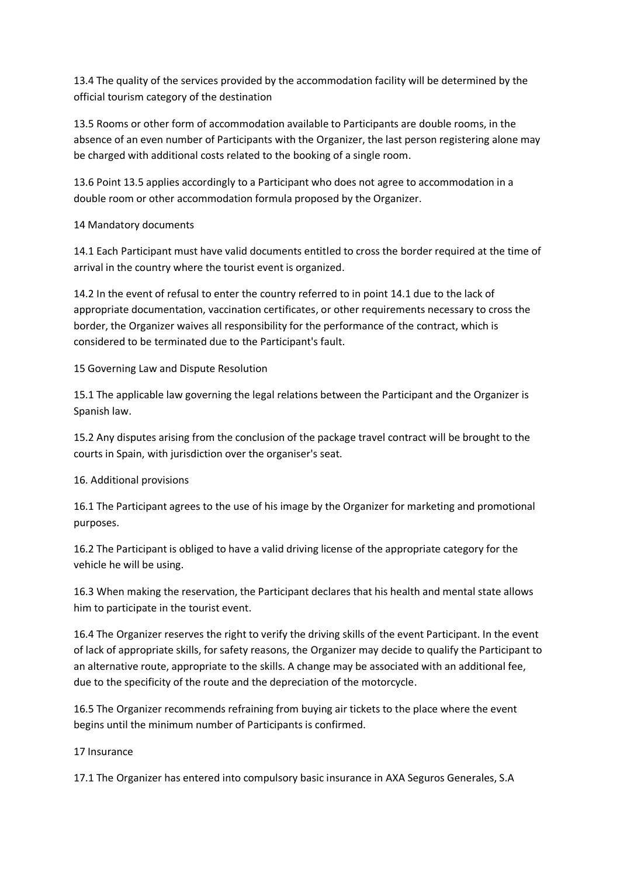13.4 The quality of the services provided by the accommodation facility will be determined by the official tourism category of the destination

13.5 Rooms or other form of accommodation available to Participants are double rooms, in the absence of an even number of Participants with the Organizer, the last person registering alone may be charged with additional costs related to the booking of a single room.

13.6 Point 13.5 applies accordingly to a Participant who does not agree to accommodation in a double room or other accommodation formula proposed by the Organizer.

14 Mandatory documents

14.1 Each Participant must have valid documents entitled to cross the border required at the time of arrival in the country where the tourist event is organized.

14.2 In the event of refusal to enter the country referred to in point 14.1 due to the lack of appropriate documentation, vaccination certificates, or other requirements necessary to cross the border, the Organizer waives all responsibility for the performance of the contract, which is considered to be terminated due to the Participant's fault.

15 Governing Law and Dispute Resolution

15.1 The applicable law governing the legal relations between the Participant and the Organizer is Spanish law.

15.2 Any disputes arising from the conclusion of the package travel contract will be brought to the courts in Spain, with jurisdiction over the organiser's seat.

16. Additional provisions

16.1 The Participant agrees to the use of his image by the Organizer for marketing and promotional purposes.

16.2 The Participant is obliged to have a valid driving license of the appropriate category for the vehicle he will be using.

16.3 When making the reservation, the Participant declares that his health and mental state allows him to participate in the tourist event.

16.4 The Organizer reserves the right to verify the driving skills of the event Participant. In the event of lack of appropriate skills, for safety reasons, the Organizer may decide to qualify the Participant to an alternative route, appropriate to the skills. A change may be associated with an additional fee, due to the specificity of the route and the depreciation of the motorcycle.

16.5 The Organizer recommends refraining from buying air tickets to the place where the event begins until the minimum number of Participants is confirmed.

17 Insurance

17.1 The Organizer has entered into compulsory basic insurance in AXA Seguros Generales, S.A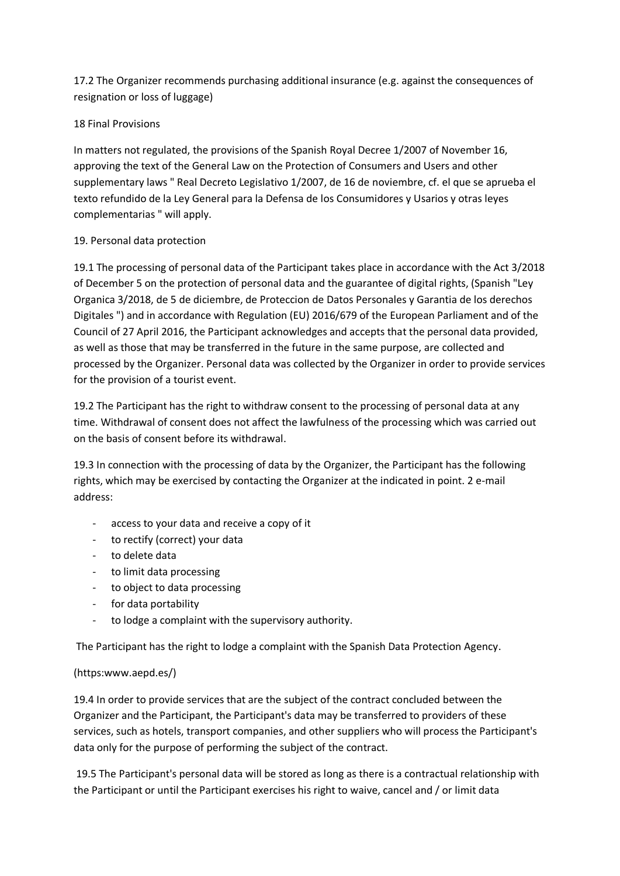17.2 The Organizer recommends purchasing additional insurance (e.g. against the consequences of resignation or loss of luggage)

# 18 Final Provisions

In matters not regulated, the provisions of the Spanish Royal Decree 1/2007 of November 16, approving the text of the General Law on the Protection of Consumers and Users and other supplementary laws " Real Decreto Legislativo 1/2007, de 16 de noviembre, cf. el que se aprueba el texto refundido de la Ley General para la Defensa de los Consumidores y Usarios y otras leyes complementarias " will apply.

# 19. Personal data protection

19.1 The processing of personal data of the Participant takes place in accordance with the Act 3/2018 of December 5 on the protection of personal data and the guarantee of digital rights, (Spanish "Ley Organica 3/2018, de 5 de diciembre, de Proteccion de Datos Personales y Garantia de los derechos Digitales ") and in accordance with Regulation (EU) 2016/679 of the European Parliament and of the Council of 27 April 2016, the Participant acknowledges and accepts that the personal data provided, as well as those that may be transferred in the future in the same purpose, are collected and processed by the Organizer. Personal data was collected by the Organizer in order to provide services for the provision of a tourist event.

19.2 The Participant has the right to withdraw consent to the processing of personal data at any time. Withdrawal of consent does not affect the lawfulness of the processing which was carried out on the basis of consent before its withdrawal.

19.3 In connection with the processing of data by the Organizer, the Participant has the following rights, which may be exercised by contacting the Organizer at the indicated in point. 2 e-mail address:

- access to your data and receive a copy of it
- to rectify (correct) your data
- to delete data
- to limit data processing
- to object to data processing
- for data portability
- to lodge a complaint with the supervisory authority.

The Participant has the right to lodge a complaint with the Spanish Data Protection Agency.

# (https:www.aepd.es/)

19.4 In order to provide services that are the subject of the contract concluded between the Organizer and the Participant, the Participant's data may be transferred to providers of these services, such as hotels, transport companies, and other suppliers who will process the Participant's data only for the purpose of performing the subject of the contract.

19.5 The Participant's personal data will be stored as long as there is a contractual relationship with the Participant or until the Participant exercises his right to waive, cancel and / or limit data